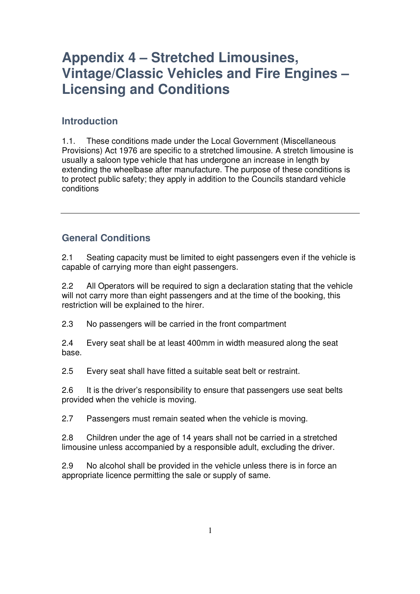### **Introduction**

1.1. These conditions made under the Local Government (Miscellaneous Provisions) Act 1976 are specific to a stretched limousine. A stretch limousine is usually a saloon type vehicle that has undergone an increase in length by extending the wheelbase after manufacture. The purpose of these conditions is to protect public safety; they apply in addition to the Councils standard vehicle conditions

#### **General Conditions**

2.1 Seating capacity must be limited to eight passengers even if the vehicle is capable of carrying more than eight passengers.

2.2 All Operators will be required to sign a declaration stating that the vehicle will not carry more than eight passengers and at the time of the booking, this restriction will be explained to the hirer.

2.3 No passengers will be carried in the front compartment

2.4 Every seat shall be at least 400mm in width measured along the seat base.

2.5 Every seat shall have fitted a suitable seat belt or restraint.

2.6 It is the driver's responsibility to ensure that passengers use seat belts provided when the vehicle is moving.

2.7 Passengers must remain seated when the vehicle is moving.

2.8 Children under the age of 14 years shall not be carried in a stretched limousine unless accompanied by a responsible adult, excluding the driver.

2.9 No alcohol shall be provided in the vehicle unless there is in force an appropriate licence permitting the sale or supply of same.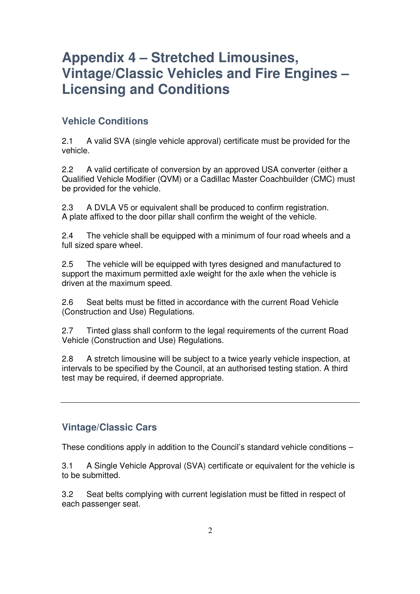### **Vehicle Conditions**

2.1 A valid SVA (single vehicle approval) certificate must be provided for the vehicle.

2.2 A valid certificate of conversion by an approved USA converter (either a Qualified Vehicle Modifier (QVM) or a Cadillac Master Coachbuilder (CMC) must be provided for the vehicle.

2.3 A DVLA V5 or equivalent shall be produced to confirm registration. A plate affixed to the door pillar shall confirm the weight of the vehicle.

2.4 The vehicle shall be equipped with a minimum of four road wheels and a full sized spare wheel.

2.5 The vehicle will be equipped with tyres designed and manufactured to support the maximum permitted axle weight for the axle when the vehicle is driven at the maximum speed.

2.6 Seat belts must be fitted in accordance with the current Road Vehicle (Construction and Use) Regulations.

2.7 Tinted glass shall conform to the legal requirements of the current Road Vehicle (Construction and Use) Regulations.

2.8 A stretch limousine will be subject to a twice yearly vehicle inspection, at intervals to be specified by the Council, at an authorised testing station. A third test may be required, if deemed appropriate.

#### **Vintage/Classic Cars**

These conditions apply in addition to the Council's standard vehicle conditions –

3.1 A Single Vehicle Approval (SVA) certificate or equivalent for the vehicle is to be submitted.

3.2 Seat belts complying with current legislation must be fitted in respect of each passenger seat.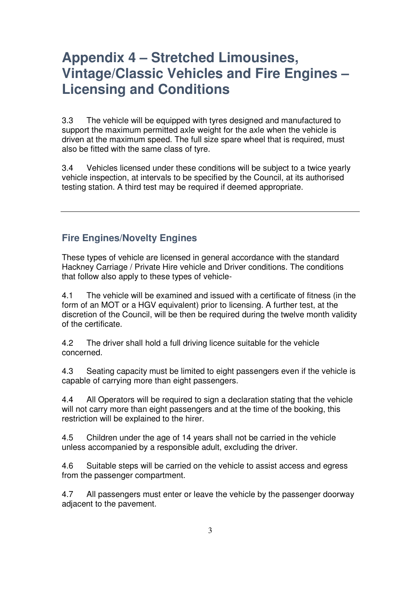3.3 The vehicle will be equipped with tyres designed and manufactured to support the maximum permitted axle weight for the axle when the vehicle is driven at the maximum speed. The full size spare wheel that is required, must also be fitted with the same class of tyre.

3.4 Vehicles licensed under these conditions will be subject to a twice yearly vehicle inspection, at intervals to be specified by the Council, at its authorised testing station. A third test may be required if deemed appropriate.

### **Fire Engines/Novelty Engines**

These types of vehicle are licensed in general accordance with the standard Hackney Carriage / Private Hire vehicle and Driver conditions. The conditions that follow also apply to these types of vehicle-

4.1 The vehicle will be examined and issued with a certificate of fitness (in the form of an MOT or a HGV equivalent) prior to licensing. A further test, at the discretion of the Council, will be then be required during the twelve month validity of the certificate.

4.2 The driver shall hold a full driving licence suitable for the vehicle concerned.

4.3 Seating capacity must be limited to eight passengers even if the vehicle is capable of carrying more than eight passengers.

4.4 All Operators will be required to sign a declaration stating that the vehicle will not carry more than eight passengers and at the time of the booking, this restriction will be explained to the hirer.

4.5 Children under the age of 14 years shall not be carried in the vehicle unless accompanied by a responsible adult, excluding the driver.

4.6 Suitable steps will be carried on the vehicle to assist access and egress from the passenger compartment.

4.7 All passengers must enter or leave the vehicle by the passenger doorway adjacent to the pavement.